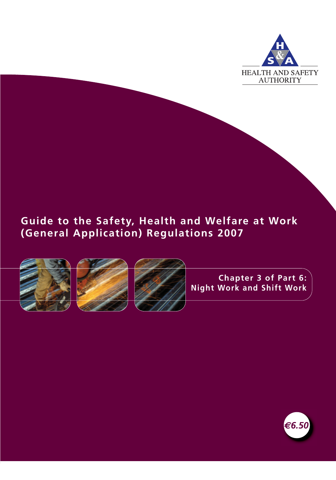

## **Guide to the Safety, Health and Welfare at Work (General Application) Regulations 2007**







**Chapter 3 of Part 6: Night Work and Shift Work**

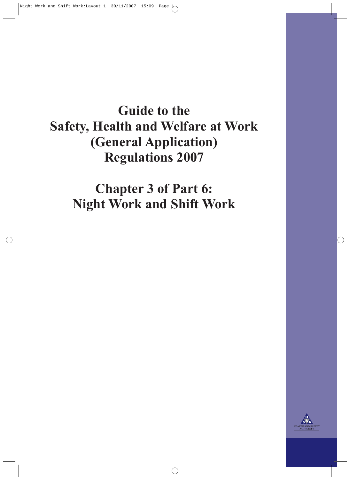# **Guide to the Safety, Health and Welfare at Work (General Application) Regulations 2007**

**Chapter 3 of Part 6: Night Work and Shift Work**

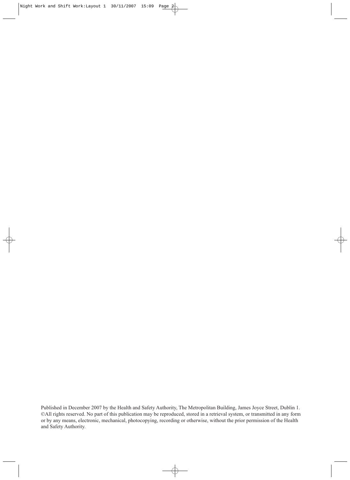Published in December 2007 by the Health and Safety Authority, The Metropolitan Building, James Joyce Street, Dublin 1. ©All rights reserved. No part of this publication may be reproduced, stored in a retrieval system, or transmitted in any form or by any means, electronic, mechanical, photocopying, recording or otherwise, without the prior permission of the Health and Safety Authority.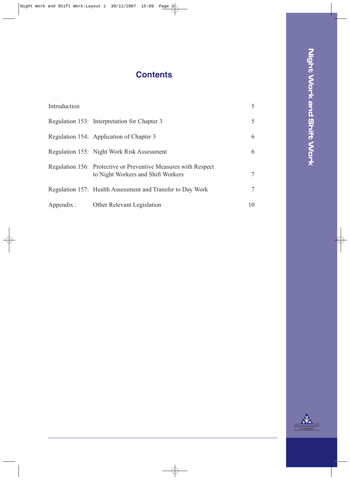# **Contents**

| Introduction |                                                                                                      | 5              |
|--------------|------------------------------------------------------------------------------------------------------|----------------|
|              | Regulation 153: Interpretation for Chapter 3                                                         | 5              |
|              | Regulation 154: Application of Chapter 3                                                             | 6              |
|              | Regulation 155: Night Work Risk Assessment                                                           | 6              |
|              | Regulation 156: Protective or Preventive Measures with Respect<br>to Night Workers and Shift Workers | $\overline{7}$ |
|              | Regulation 157: Health Assessment and Transfer to Day Work                                           | 7              |
| Appendix:    | Other Relevant Legislation                                                                           | 10             |

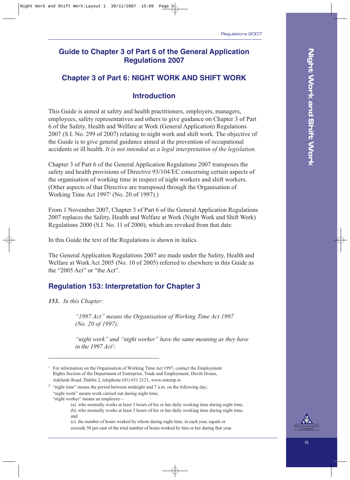#### **Guide to Chapter 3 of Part 6 of the General Application Regulations 2007**

#### **Chapter 3 of Part 6: NIGHT WORK AND SHIFT WORK**

#### **Introduction**

This Guide is aimed at safety and health practitioners, employers, managers, employees, safety representatives and others to give guidance on Chapter 3 of Part 6 of the Safety, Health and Welfare at Work (General Application) Regulations 2007 (S.I. No. 299 of 2007) relating to night work and shift work. The objective of the Guide is to give general guidance aimed at the prevention of occupational accidents or ill health. *It is not intended as a legal interpretation of the legislation.*

Chapter 3 of Part 6 of the General Application Regulations 2007 transposes the safety and health provisions of Directive 93/104/EC concerning certain aspects of the organisation of working time in respect of night workers and shift workers. (Other aspects of that Directive are transposed through the Organisation of Working Time Act 19971 (No. 20 of 1997).)

From 1 November 2007, Chapter 3 of Part 6 of the General Application Regulations 2007 replaces the Safety, Health and Welfare at Work (Night Work and Shift Work) Regulations 2000 (S.I. No. 11 of 2000), which are revoked from that date.

In this Guide the text of the Regulations is shown in italics.

The General Application Regulations 2007 are made under the Safety, Health and Welfare at Work Act 2005 (No. 10 of 2005) referred to elsewhere in this Guide as the "2005 Act" or "the Act".

#### **Regulation 153: Interpretation for Chapter 3**

*153. In this Chapter:*

*"1997 Act" means the Organisation of Working Time Act 1997 (No. 20 of 1997);* 

*"night work" and "night worker" have the same meaning as they have in the 1997 Act2 ;*

(b) who normally works at least 3 hours of his or her daily working time during night time, and

(c) the number of hours worked by whom during night time, in each year, equals or exceeds 50 per cent of the total number of hours worked by him or her during that year.



<sup>&</sup>lt;sup>1</sup> For information on the Organisation of Working Time Act 1997, contact the Employment Rights Section of the Department of Enterprise, Trade and Employment, Davitt House, Adelaide Road, Dublin 2, telephone (01) 631 2121, www.entemp.ie

 $2$  "night time" means the period between midnight and 7 a.m. on the following day;

<sup>&</sup>quot;night work" means work carried out during night time;

<sup>&</sup>quot;night worker" means an employee-

<sup>(</sup>a) who normally works at least 3 hours of his or her daily working time during night time,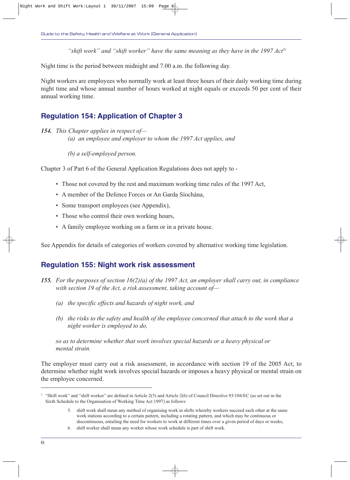*"shift work" and "shift worker" have the same meaning as they have in the 1997 Act3*<sup>3</sup>

Night time is the period between midnight and 7.00 a.m. the following day.

Night workers are employees who normally work at least three hours of their daily working time during night time and whose annual number of hours worked at night equals or exceeds 50 per cent of their annual working time.

#### **Regulation 154: Application of Chapter 3**

*154. This Chapter applies in respect of— (a) an employee and employer to whom the 1997 Act applies, and*

*(b) a self-employed person.*

Chapter 3 of Part 6 of the General Application Regulations does not apply to -

- Those not covered by the rest and maximum working time rules of the 1997 Act,
- A member of the Defence Forces or An Garda Síochána,
- Some transport employees (see Appendix),
- Those who control their own working hours,
- A family employee working on a farm or in a private house.

See Appendix for details of categories of workers covered by alternative working time legislation.

#### **Regulation 155: Night work risk assessment**

- *155. For the purposes of section 16(2)(a) of the 1997 Act, an employer shall carry out, in compliance with section 19 of the Act, a risk assessment, taking account of—*
	- *(a) the specific effects and hazards of night work, and*
	- *(b) the risks to the safety and health of the employee concerned that attach to the work that a night worker is employed to do,*

*so as to determine whether that work involves special hazards or a heavy physical or mental strain.*

The employer must carry out a risk assessment, in accordance with section 19 of the 2005 Act, to determine whether night work involves special hazards or imposes a heavy physical or mental strain on the employee concerned.

<sup>3</sup> "Shift work" and "shift worker" are defined in Article 2(5) and Article 2(6) of Council Directive 93/104/EC (as set out in the Sixth Schedule to the Organisation of Working Time Act 1997) as follows:

<sup>5.</sup> shift work shall mean any method of organising work in shifts whereby workers succeed each other at the same work stations according to a certain pattern, including a rotating pattern, and which may be continuous or discontinuous, entailing the need for workers to work at different times over a given period of days or weeks;

<sup>6.</sup> shift worker shall mean any worker whose work schedule is part of shift work.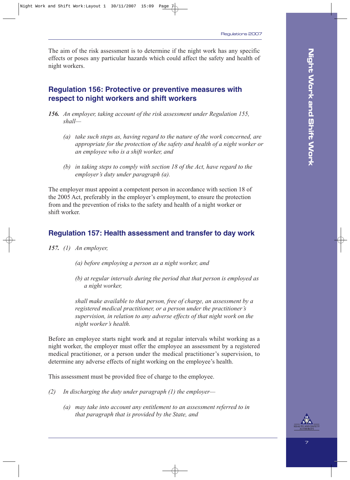The aim of the risk assessment is to determine if the night work has any specific effects or poses any particular hazards which could affect the safety and health of night workers.

#### **Regulation 156: Protective or preventive measures with respect to night workers and shift workers**

- *156. An employer, taking account of the risk assessment under Regulation 155, shall—*
	- *(a) take such steps as, having regard to the nature of the work concerned, are appropriate for the protection of the safety and health of a night worker or an employee who is a shift worker, and*
	- *(b) in taking steps to comply with section 18 of the Act, have regard to the employer's duty under paragraph (a).*

The employer must appoint a competent person in accordance with section 18 of the 2005 Act, preferably in the employer's employment, to ensure the protection from and the prevention of risks to the safety and health of a night worker or shift worker.

#### **Regulation 157: Health assessment and transfer to day work**

- *157. (1) An employer,*
	- *(a) before employing a person as a night worker, and*
	- *(b) at regular intervals during the period that that person is employed as a night worker,*

*shall make available to that person, free of charge, an assessment by a registered medical practitioner, or a person under the practitioner's supervision, in relation to any adverse effects of that night work on the night worker's health.*

Before an employee starts night work and at regular intervals whilst working as a night worker, the employer must offer the employee an assessment by a registered medical practitioner, or a person under the medical practitioner's supervision, to determine any adverse effects of night working on the employee's health.

This assessment must be provided free of charge to the employee.

- *(2) In discharging the duty under paragraph (1) the employer—*
	- *(a) may take into account any entitlement to an assessment referred to in that paragraph that is provided by the State, and*

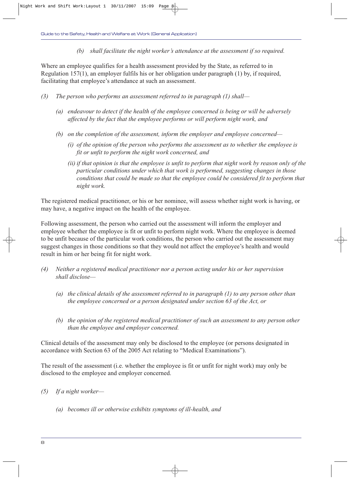*(b) shall facilitate the night worker's attendance at the assessment if so required.*

Where an employee qualifies for a health assessment provided by the State, as referred to in Regulation 157(1), an employer fulfils his or her obligation under paragraph (1) by, if required, facilitating that employee's attendance at such an assessment.

- *(3) The person who performs an assessment referred to in paragraph (1) shall—*
	- *(a) endeavour to detect if the health of the employee concerned is being or will be adversely affected by the fact that the employee performs or will perform night work, and*
	- *(b) on the completion of the assessment, inform the employer and employee concerned—*
		- *(i) of the opinion of the person who performs the assessment as to whether the employee is fit or unfit to perform the night work concerned, and*
		- *(ii) if that opinion is that the employee is unfit to perform that night work by reason only of the particular conditions under which that work is performed, suggesting changes in those conditions that could be made so that the employee could be considered fit to perform that night work.*

The registered medical practitioner, or his or her nominee, will assess whether night work is having, or may have, a negative impact on the health of the employee.

Following assessment, the person who carried out the assessment will inform the employer and employee whether the employee is fit or unfit to perform night work. Where the employee is deemed to be unfit because of the particular work conditions, the person who carried out the assessment may suggest changes in those conditions so that they would not affect the employee's health and would result in him or her being fit for night work.

- *(4) Neither a registered medical practitioner nor a person acting under his or her supervision shall disclose—*
	- *(a) the clinical details of the assessment referred to in paragraph (1) to any person other than the employee concerned or a person designated under section 63 of the Act, or*
	- *(b) the opinion of the registered medical practitioner of such an assessment to any person other than the employee and employer concerned.*

Clinical details of the assessment may only be disclosed to the employee (or persons designated in accordance with Section 63 of the 2005 Act relating to "Medical Examinations").

The result of the assessment (i.e. whether the employee is fit or unfit for night work) may only be disclosed to the employee and employer concerned.

- *(5) If a night worker—*
	- *(a) becomes ill or otherwise exhibits symptoms of ill-health, and*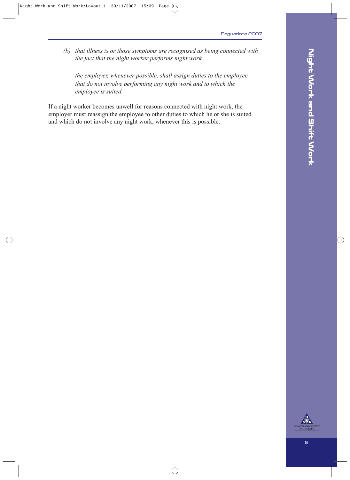*(b) that illness is or those symptoms are recognised as being connected with the fact that the night worker performs night work,*

*the employer, whenever possible, shall assign duties to the employee that do not involve performing any night work and to which the employee is suited.*

If a night worker becomes unwell for reasons connected with night work, the employer must reassign the employee to other duties to which he or she is suited and which do not involve any night work, whenever this is possible.

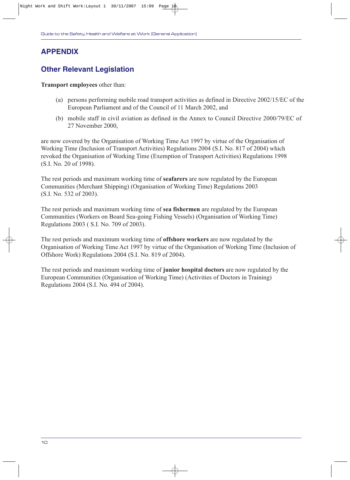## **APPENDIX**

### **Other Relevant Legislation**

**Transport employees** other than:

- (a) persons performing mobile road transport activities as defined in Directive 2002/15/EC of the European Parliament and of the Council of 11 March 2002, and
- (b) mobile staff in civil aviation as defined in the Annex to Council Directive 2000/79/EC of 27 November 2000,

are now covered by the Organisation of Working Time Act 1997 by virtue of the Organisation of Working Time (Inclusion of Transport Activities) Regulations 2004 (S.I. No. 817 of 2004) which revoked the Organisation of Working Time (Exemption of Transport Activities) Regulations 1998 (S.I. No. 20 of 1998).

The rest periods and maximum working time of **seafarers** are now regulated by the European Communities (Merchant Shipping) (Organisation of Working Time) Regulations 2003 (S.I. No. 532 of 2003).

The rest periods and maximum working time of **sea fishermen** are regulated by the European Communities (Workers on Board Sea-going Fishing Vessels) (Organisation of Working Time) Regulations 2003 ( S.I. No. 709 of 2003).

The rest periods and maximum working time of **offshore workers** are now regulated by the Organisation of Working Time Act 1997 by virtue of the Organisation of Working Time (Inclusion of Offshore Work) Regulations 2004 (S.I. No. 819 of 2004).

The rest periods and maximum working time of **junior hospital doctors** are now regulated by the European Communities (Organisation of Working Time) (Activities of Doctors in Training) Regulations 2004 (S.I. No. 494 of 2004).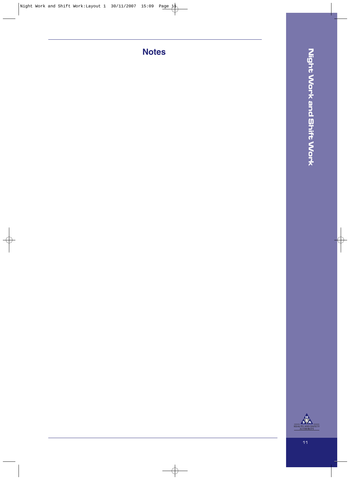**Notes**



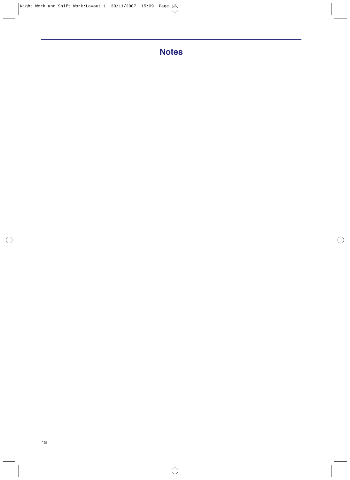## **Notes**